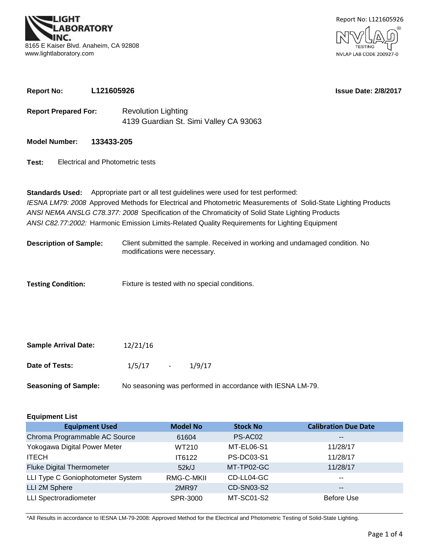**BORATORY** 8165 E Kaiser Blvd. Anaheim, CA 92808 www.lightlaboratory.com



**Report No: L121605926**

**Issue Date: 2/8/2017**

- **Report Prepared For:** Revolution Lighting 4139 Guardian St. Simi Valley CA 93063
- **Model Number: 133433-205**
- **Test:** Electrical and Photometric tests

*ANSI C82.77:2002:* Harmonic Emission Limits-Related Quality Requirements for Lighting Equipment **Standards Used:** Appropriate part or all test guidelines were used for test performed: *IESNA LM79: 2008* Approved Methods for Electrical and Photometric Measurements of Solid-State Lighting Products *ANSI NEMA ANSLG C78.377: 2008* Specification of the Chromaticity of Solid State Lighting Products

- Client submitted the sample. Received in working and undamaged condition. No modifications were necessary. **Description of Sample:**
- **Testing Condition:** Fixture is tested with no special conditions.

| <b>Sample Arrival Date:</b> | 12/21/16 |                  |        |  |  |
|-----------------------------|----------|------------------|--------|--|--|
| Date of Tests:              | 1/5/17   | $\sim$ 100 $\mu$ | 1/9/17 |  |  |
|                             |          |                  |        |  |  |

| <b>Seasoning of Sample:</b> | No seasoning was performed in accordance with IESNA LM-79. |
|-----------------------------|------------------------------------------------------------|
|-----------------------------|------------------------------------------------------------|

| <b>Equipment List</b>             |                 |                   |                             |  |  |  |  |  |  |  |
|-----------------------------------|-----------------|-------------------|-----------------------------|--|--|--|--|--|--|--|
| <b>Equipment Used</b>             | <b>Model No</b> | <b>Stock No</b>   | <b>Calibration Due Date</b> |  |  |  |  |  |  |  |
| Chroma Programmable AC Source     | 61604           | PS-AC02           | $\sim$ $\sim$               |  |  |  |  |  |  |  |
| Yokogawa Digital Power Meter      | WT210           | MT-EL06-S1        | 11/28/17                    |  |  |  |  |  |  |  |
| <b>ITECH</b>                      | IT6122          | <b>PS-DC03-S1</b> | 11/28/17                    |  |  |  |  |  |  |  |
| <b>Fluke Digital Thermometer</b>  | 52k/J           | MT-TP02-GC        | 11/28/17                    |  |  |  |  |  |  |  |
| LLI Type C Goniophotometer System | RMG-C-MKII      | CD-LL04-GC        | $- -$                       |  |  |  |  |  |  |  |
| LLI 2M Sphere                     | 2MR97           | CD-SN03-S2        | $\sim$ $\sim$               |  |  |  |  |  |  |  |
| <b>LLI Spectroradiometer</b>      | SPR-3000        | MT-SC01-S2        | <b>Before Use</b>           |  |  |  |  |  |  |  |

\*All Results in accordance to IESNA LM-79-2008: Approved Method for the Electrical and Photometric Testing of Solid-State Lighting.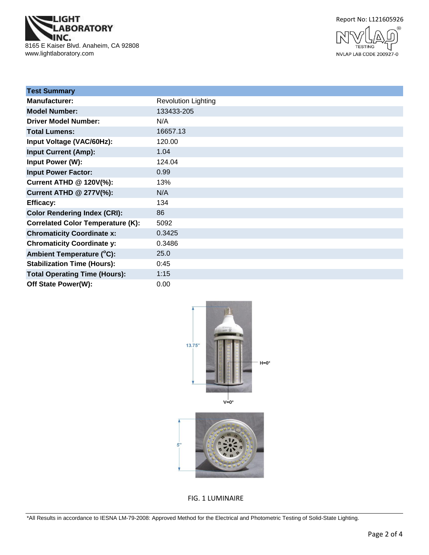

Report No: L121605926



| <b>Test Summary</b>                      |                            |
|------------------------------------------|----------------------------|
| <b>Manufacturer:</b>                     | <b>Revolution Lighting</b> |
| <b>Model Number:</b>                     | 133433-205                 |
| <b>Driver Model Number:</b>              | N/A                        |
| <b>Total Lumens:</b>                     | 16657.13                   |
| Input Voltage (VAC/60Hz):                | 120.00                     |
| <b>Input Current (Amp):</b>              | 1.04                       |
| Input Power (W):                         | 124.04                     |
| <b>Input Power Factor:</b>               | 0.99                       |
| Current ATHD @ 120V(%):                  | 13%                        |
| <b>Current ATHD @ 277V(%):</b>           | N/A                        |
| <b>Efficacy:</b>                         | 134                        |
| <b>Color Rendering Index (CRI):</b>      | 86                         |
| <b>Correlated Color Temperature (K):</b> | 5092                       |
| <b>Chromaticity Coordinate x:</b>        | 0.3425                     |
| <b>Chromaticity Coordinate y:</b>        | 0.3486                     |
| Ambient Temperature (°C):                | 25.0                       |
| <b>Stabilization Time (Hours):</b>       | 0:45                       |
| <b>Total Operating Time (Hours):</b>     | 1:15                       |
| Off State Power(W):                      | 0.00                       |





FIG. 1 LUMINAIRE

\*All Results in accordance to IESNA LM-79-2008: Approved Method for the Electrical and Photometric Testing of Solid-State Lighting.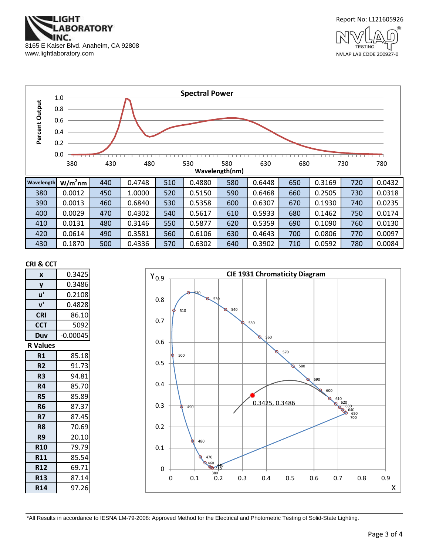



NVLAP LAB CODE 200927-0



#### **CRI & CCT**

| X               | 0.3425     |
|-----------------|------------|
| y               | 0.3486     |
| u'              | 0.2108     |
| ${\bf v}'$      | 0.4828     |
| <b>CRI</b>      | 86.10      |
| <b>CCT</b>      | 5092       |
| Duv             | $-0.00045$ |
| <b>R</b> Values |            |
| R1              | 85.18      |
| R <sub>2</sub>  | 91.73      |
| R3              | 94.81      |
| R4              | 85.70      |
| <b>R5</b>       | 85.89      |
| R6              | 87.37      |
| R7              | 87.45      |
| R8              | 70.69      |
| R9              | 20.10      |
| <b>R10</b>      | 79.79      |
| <b>R11</b>      | 85.54      |
| <b>R12</b>      | 69.71      |
| <b>R13</b>      | 87.14      |
| <b>R14</b>      | 97.26      |



\*All Results in accordance to IESNA LM-79-2008: Approved Method for the Electrical and Photometric Testing of Solid-State Lighting.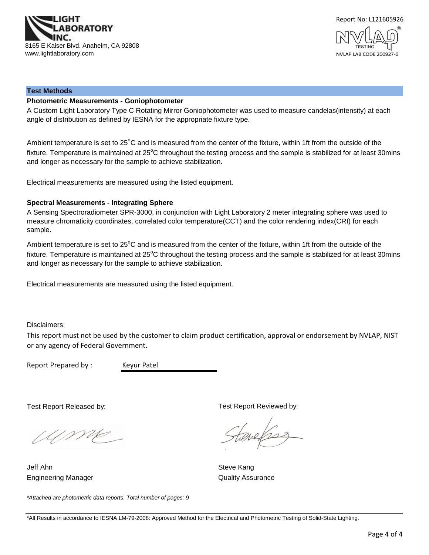



#### **Test Methods**

#### **Photometric Measurements - Goniophotometer**

A Custom Light Laboratory Type C Rotating Mirror Goniophotometer was used to measure candelas(intensity) at each angle of distribution as defined by IESNA for the appropriate fixture type.

Ambient temperature is set to 25°C and is measured from the center of the fixture, within 1ft from the outside of the fixture. Temperature is maintained at  $25^{\circ}$ C throughout the testing process and the sample is stabilized for at least 30mins and longer as necessary for the sample to achieve stabilization.

Electrical measurements are measured using the listed equipment.

#### **Spectral Measurements - Integrating Sphere**

A Sensing Spectroradiometer SPR-3000, in conjunction with Light Laboratory 2 meter integrating sphere was used to measure chromaticity coordinates, correlated color temperature(CCT) and the color rendering index(CRI) for each sample.

Ambient temperature is set to 25°C and is measured from the center of the fixture, within 1ft from the outside of the fixture. Temperature is maintained at  $25^{\circ}$ C throughout the testing process and the sample is stabilized for at least 30mins and longer as necessary for the sample to achieve stabilization.

Electrical measurements are measured using the listed equipment.

Disclaimers:

This report must not be used by the customer to claim product certification, approval or endorsement by NVLAP, NIST or any agency of Federal Government.

Report Prepared by : Keyur Patel

Test Report Released by:

Ump

*\*Attached are photometric data reports. Total number of pages: 9*

Engineering Manager **Contract Contract Contract Contract Contract Contract Contract Contract Contract Contract Contract Contract Contract Contract Contract Contract Contract Contract Contract Contract Contract Contract Con** Jeff Ahn Steve Kang

Test Report Reviewed by:

evelses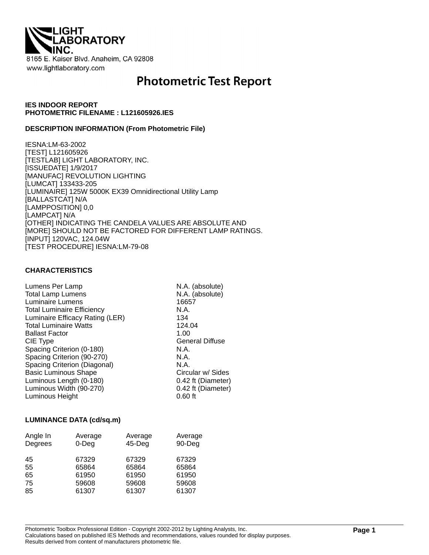

# **Photometric Test Report**

### **IES INDOOR REPORT PHOTOMETRIC FILENAME : L121605926.IES**

#### **DESCRIPTION INFORMATION (From Photometric File)**

IESNA:LM-63-2002 [TEST] L121605926 [TESTLAB] LIGHT LABORATORY, INC. [ISSUEDATE] 1/9/2017 [MANUFAC] REVOLUTION LIGHTING [LUMCAT] 133433-205 [LUMINAIRE] 125W 5000K EX39 Omnidirectional Utility Lamp [BALLASTCAT] N/A [LAMPPOSITION] 0,0 [LAMPCAT] N/A [OTHER] INDICATING THE CANDELA VALUES ARE ABSOLUTE AND [MORE] SHOULD NOT BE FACTORED FOR DIFFERENT LAMP RATINGS. [INPUT] 120VAC, 124.04W [TEST PROCEDURE] IESNA:LM-79-08

### **CHARACTERISTICS**

| Lumens Per Lamp                   | N.A. (absolute)        |
|-----------------------------------|------------------------|
| <b>Total Lamp Lumens</b>          | N.A. (absolute)        |
| Luminaire Lumens                  | 16657                  |
| <b>Total Luminaire Efficiency</b> | N.A.                   |
| Luminaire Efficacy Rating (LER)   | 134                    |
| <b>Total Luminaire Watts</b>      | 124.04                 |
| <b>Ballast Factor</b>             | 1.00                   |
| CIE Type                          | <b>General Diffuse</b> |
| Spacing Criterion (0-180)         | N.A.                   |
| Spacing Criterion (90-270)        | N.A.                   |
| Spacing Criterion (Diagonal)      | N.A.                   |
| <b>Basic Luminous Shape</b>       | Circular w/ Sides      |
| Luminous Length (0-180)           | 0.42 ft (Diameter)     |
| Luminous Width (90-270)           | 0.42 ft (Diameter)     |
| Luminous Height                   | $0.60$ ft              |

#### **LUMINANCE DATA (cd/sq.m)**

| Angle In<br>Degrees | Average<br>$0$ -Deg | Average<br>$45$ -Deg | Average<br>90-Deg |
|---------------------|---------------------|----------------------|-------------------|
| 45                  | 67329               | 67329                | 67329             |
| 55                  | 65864               | 65864                | 65864             |
| 65                  | 61950               | 61950                | 61950             |
| 75                  | 59608               | 59608                | 59608             |
| 85                  | 61307               | 61307                | 61307             |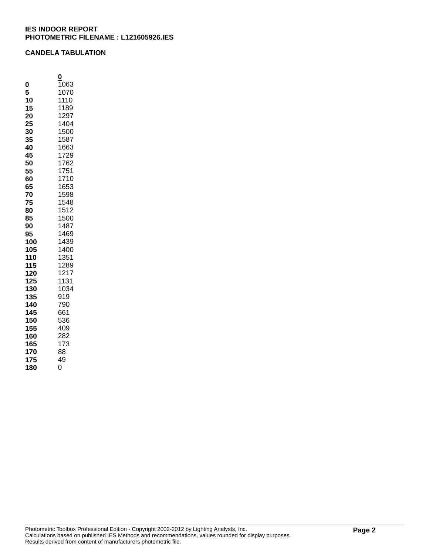## **CANDELA TABULATION**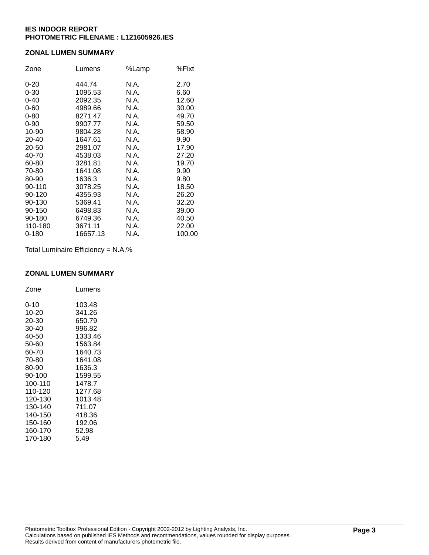## **ZONAL LUMEN SUMMARY**

| Zone      | Lumens   | %Lamp | %Fixt  |
|-----------|----------|-------|--------|
| $0 - 20$  | 444.74   | N.A.  | 2.70   |
| $0 - 30$  | 1095.53  | N.A.  | 6.60   |
| $0 - 40$  | 2092.35  | N.A.  | 12.60  |
| $0 - 60$  | 4989.66  | N.A.  | 30.00  |
| $0 - 80$  | 8271.47  | N.A.  | 49.70  |
| $0 - 90$  | 9907.77  | N.A.  | 59.50  |
| 10-90     | 9804.28  | N.A.  | 58.90  |
| 20-40     | 1647.61  | N.A.  | 9.90   |
| 20-50     | 2981.07  | N.A.  | 17.90  |
| 40-70     | 4538.03  | N.A.  | 27.20  |
| 60-80     | 3281.81  | N.A.  | 19.70  |
| 70-80     | 1641.08  | N.A.  | 9.90   |
| 80-90     | 1636.3   | N.A.  | 9.80   |
| 90-110    | 3078.25  | N.A.  | 18.50  |
| 90-120    | 4355.93  | N.A.  | 26.20  |
| 90-130    | 5369.41  | N.A.  | 32.20  |
| 90-150    | 6498.83  | N.A.  | 39.00  |
| 90-180    | 6749.36  | N.A.  | 40.50  |
| 110-180   | 3671.11  | N.A.  | 22.00  |
| $0 - 180$ | 16657.13 | N.A.  | 100.00 |

Total Luminaire Efficiency = N.A.%

#### **ZONAL LUMEN SUMMARY**

| Zone    | Lumens  |
|---------|---------|
| 0-10    | 103.48  |
| 10-20   | 341.26  |
| 20-30   | 650.79  |
| 30-40   | 996.82  |
| 40-50   | 1333.46 |
| 50-60   | 1563.84 |
| 60-70   | 1640.73 |
| 70-80   | 1641.08 |
| 80-90   | 1636.3  |
| 90-100  | 1599.55 |
| 100-110 | 1478.7  |
| 110-120 | 1277.68 |
| 120-130 | 1013.48 |
| 130-140 | 711.07  |
| 140-150 | 418.36  |
| 150-160 | 192.06  |
| 160-170 | 52.98   |
| 170-180 | 5.49    |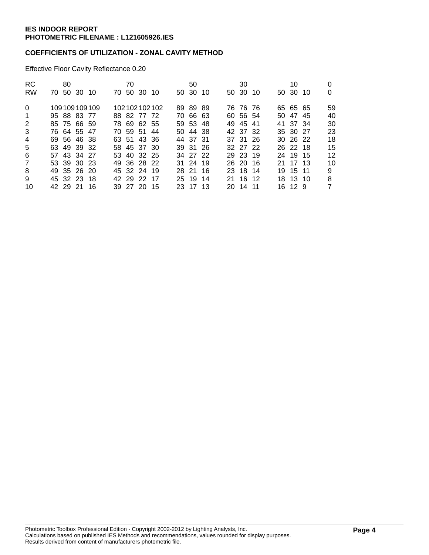## **COEFFICIENTS OF UTILIZATION - ZONAL CAVITY METHOD**

Effective Floor Cavity Reflectance 0.20

| <b>RC</b><br><b>RW</b> |             | 80 | 70 50 30 10 |              | 70 | 70 50 30 10 |              | 50<br>50 30 10 |  | 30<br>50 30 10 |  | 10<br>50 30 10 | 0  |
|------------------------|-------------|----|-------------|--------------|----|-------------|--------------|----------------|--|----------------|--|----------------|----|
| $\Omega$               |             |    |             | 109109109109 |    |             | 102102102102 | 89 89 89       |  | 76 76 76       |  | 65 65 65       | 59 |
| $\overline{1}$         |             |    | 95 88 83 77 |              |    | 88 82 77 72 |              | 70 66 63       |  | 60 56 54       |  | 50 47 45       | 40 |
| 2                      |             |    | 85 75 66 59 |              |    | 78 69 62 55 |              | 59 53 48       |  | 49 45 41       |  | 41 37 34       | 30 |
| 3                      |             |    | 76 64 55 47 |              |    | 70 59 51 44 |              | 50 44 38       |  | 42 37 32       |  | 35 30 27       | 23 |
| $\overline{4}$         |             |    | 69 56 46 38 |              |    | 63 51 43 36 |              | 44 37 31       |  | 37 31 26       |  | $30\,26\,22$   | 18 |
| 5                      |             |    | 63 49 39 32 |              |    | 58 45 37 30 |              | 39 31 26       |  | 32 27 22       |  | 26 22 18       | 15 |
| 6                      |             |    | 57 43 34 27 |              |    | 53 40 32 25 |              | 34 27 22       |  | 29 23 19       |  | 24 19 15       | 12 |
| $\overline{7}$         |             |    | 53 39 30 23 |              |    | 49 36 28 22 |              | 31 24 19       |  | 26 20 16       |  | 21 17 13       | 10 |
| 8                      |             |    | 49 35 26 20 |              |    | 45 32 24 19 |              | 28 21 16       |  | 23 18 14       |  | 19 15 11       | 9  |
| 9                      | 45 32 23 18 |    |             |              |    | 42 29 22 17 |              | 25 19 14       |  | 21 16 12       |  | 18 13 10       | 8  |
| 10                     |             |    | 42 29 21 16 |              |    | 39 27 20 15 |              | 23 17 13       |  | 20 14 11       |  | 16 12 9        | 7  |